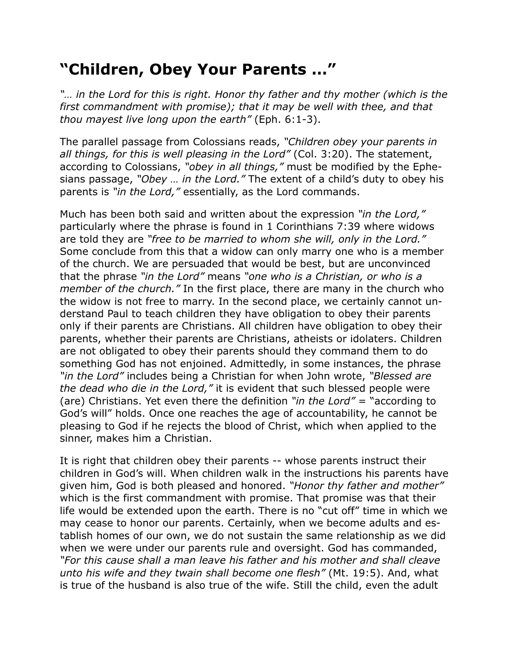## **"Children, Obey Your Parents …"**

*"… in the Lord for this is right. Honor thy father and thy mother (which is the first commandment with promise); that it may be well with thee, and that thou mayest live long upon the earth"* (Eph. 6:1-3).

The parallel passage from Colossians reads, *"Children obey your parents in all things, for this is well pleasing in the Lord"* (Col. 3:20). The statement, according to Colossians, *"obey in all things,"* must be modified by the Ephesians passage, *"Obey … in the Lord."* The extent of a child's duty to obey his parents is *"in the Lord,"* essentially, as the Lord commands.

Much has been both said and written about the expression *"in the Lord,"* particularly where the phrase is found in 1 Corinthians 7:39 where widows are told they are *"free to be married to whom she will, only in the Lord."* Some conclude from this that a widow can only marry one who is a member of the church. We are persuaded that would be best, but are unconvinced that the phrase *"in the Lord"* means *"one who is a Christian, or who is a member of the church."* In the first place, there are many in the church who the widow is not free to marry. In the second place, we certainly cannot understand Paul to teach children they have obligation to obey their parents only if their parents are Christians. All children have obligation to obey their parents, whether their parents are Christians, atheists or idolaters. Children are not obligated to obey their parents should they command them to do something God has not enjoined. Admittedly, in some instances, the phrase *"in the Lord"* includes being a Christian for when John wrote, *"Blessed are the dead who die in the Lord,"* it is evident that such blessed people were (are) Christians. Yet even there the definition *"in the Lord"* = "according to God's will" holds. Once one reaches the age of accountability, he cannot be pleasing to God if he rejects the blood of Christ, which when applied to the sinner, makes him a Christian.

It is right that children obey their parents -- whose parents instruct their children in God's will. When children walk in the instructions his parents have given him, God is both pleased and honored. *"Honor thy father and mother"*  which is the first commandment with promise. That promise was that their life would be extended upon the earth. There is no "cut off" time in which we may cease to honor our parents. Certainly, when we become adults and establish homes of our own, we do not sustain the same relationship as we did when we were under our parents rule and oversight. God has commanded, *"For this cause shall a man leave his father and his mother and shall cleave unto his wife and they twain shall become one flesh"* (Mt. 19:5). And, what is true of the husband is also true of the wife. Still the child, even the adult